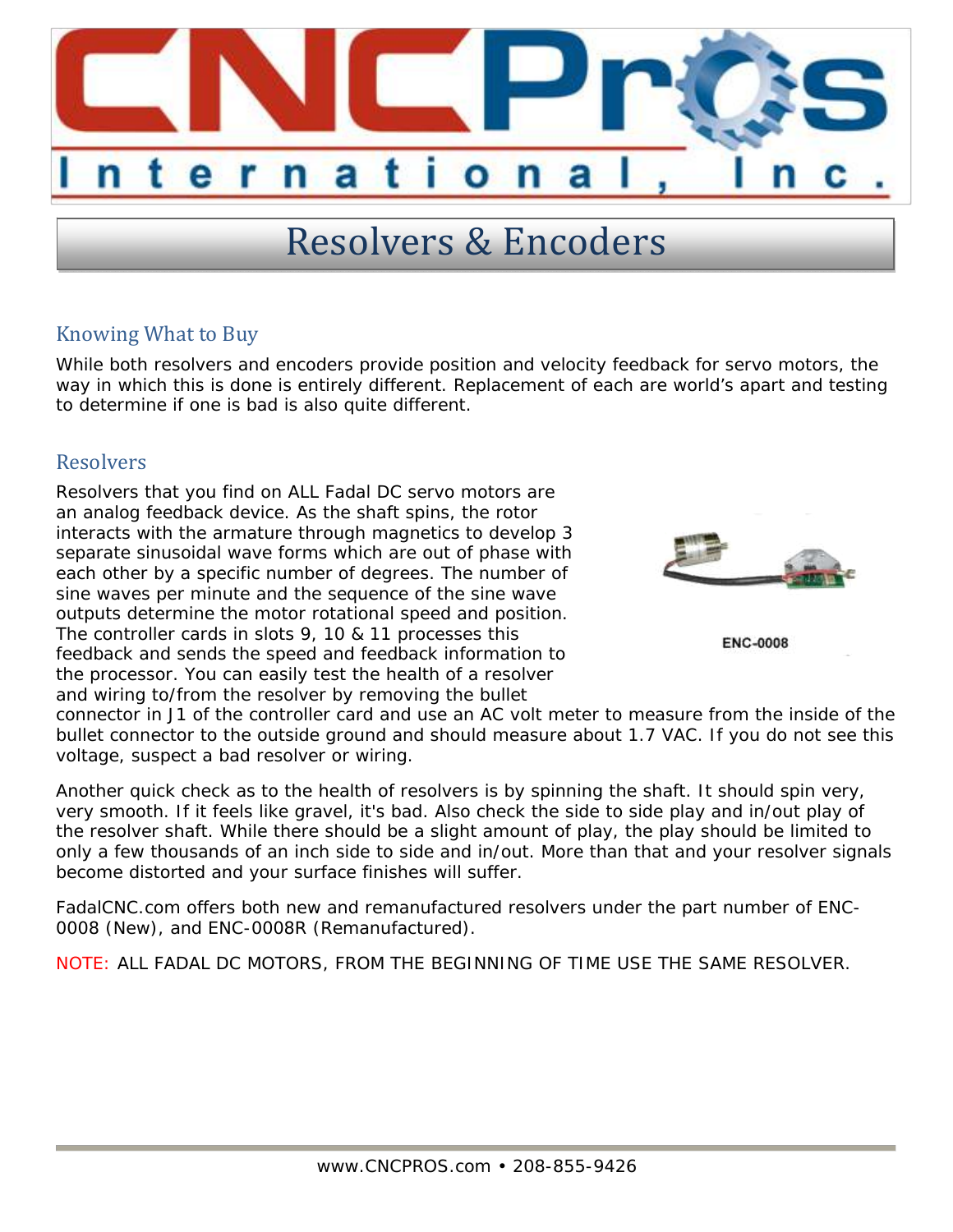

## Resolvers & Encoders

## Knowing What to Buy

While both resolvers and encoders provide position and velocity feedback for servo motors, the way in which this is done is entirely different. Replacement of each are world's apart and testing to determine if one is bad is also quite different.

## **Resolvers**

Resolvers that you find on ALL Fadal DC servo motors are an analog feedback device. As the shaft spins, the rotor interacts with the armature through magnetics to develop 3 separate sinusoidal wave forms which are out of phase with each other by a specific number of degrees. The number of sine waves per minute and the sequence of the sine wave outputs determine the motor rotational speed and position. The controller cards in slots 9, 10 & 11 processes this feedback and sends the speed and feedback information to the processor. You can easily test the health of a resolver and wiring to/from the resolver by removing the bullet



```
ENC-0008
```
connector in J1 of the controller card and use an AC volt meter to measure from the inside of the bullet connector to the outside ground and should measure about 1.7 VAC. If you do not see this voltage, suspect a bad resolver or wiring.

Another quick check as to the health of resolvers is by spinning the shaft. It should spin very, very smooth. If it feels like gravel, it's bad. Also check the side to side play and in/out play of the resolver shaft. While there should be a slight amount of play, the play should be limited to only a few thousands of an inch side to side and in/out. More than that and your resolver signals become distorted and your surface finishes will suffer.

FadalCNC.com offers both new and remanufactured resolvers under the part number of ENC-0008 (New), and ENC-0008R (Remanufactured).

NOTE: ALL FADAL DC MOTORS, FROM THE BEGINNING OF TIME USE THE SAME RESOLVER.